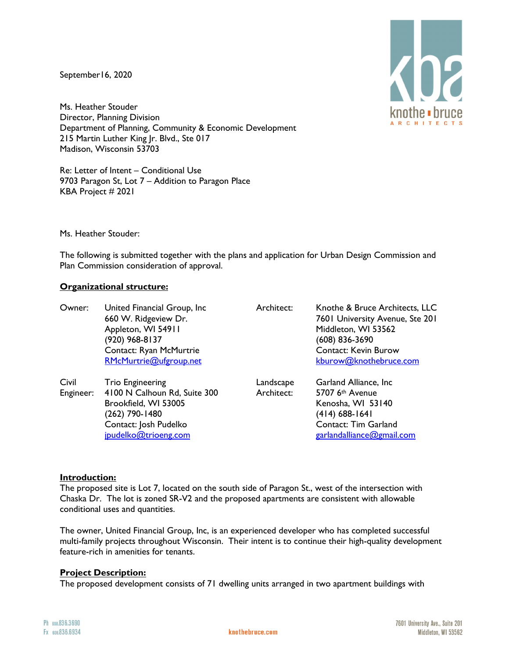September16, 2020

 $\langle \textsf{h} \textsf{z}$ knothe • bruce A R C H I T E C T :

Ms. Heather Stouder Director, Planning Division Department of Planning, Community & Economic Development 215 Martin Luther King Jr. Blvd., Ste 017 Madison, Wisconsin 53703

Re: Letter of Intent – Conditional Use 9703 Paragon St, Lot 7 – Addition to Paragon Place KBA Project # 2021

Ms. Heather Stouder:

The following is submitted together with the plans and application for Urban Design Commission and Plan Commission consideration of approval.

# **Organizational structure:**

| Owner:             | United Financial Group, Inc.<br>660 W. Ridgeview Dr.<br>Appleton, WI 54911<br>(920) 968-8137<br>Contact: Ryan McMurtrie<br>RMcMurtrie@ufgroup.net  | Architect:              | Knothe & Bruce Architects, LLC<br>7601 University Avenue, Ste 201<br>Middleton, WI 53562<br>(608) 836-3690<br><b>Contact: Kevin Burow</b><br>kburow@knothebruce.com |
|--------------------|----------------------------------------------------------------------------------------------------------------------------------------------------|-------------------------|---------------------------------------------------------------------------------------------------------------------------------------------------------------------|
| Civil<br>Engineer: | <b>Trio Engineering</b><br>4100 N Calhoun Rd, Suite 300<br>Brookfield, WI 53005<br>(262) 790-1480<br>Contact: Josh Pudelko<br>jpudelko@trioeng.com | Landscape<br>Architect: | Garland Alliance, Inc.<br>5707 6th Avenue<br>Kenosha, WI 53140<br>(414) 688-1641<br>Contact: Tim Garland<br>garlandalliance@gmail.com                               |

# **Introduction:**

The proposed site is Lot 7, located on the south side of Paragon St., west of the intersection with Chaska Dr. The lot is zoned SR-V2 and the proposed apartments are consistent with allowable conditional uses and quantities.

The owner, United Financial Group, Inc, is an experienced developer who has completed successful multi-family projects throughout Wisconsin. Their intent is to continue their high-quality development feature-rich in amenities for tenants.

# **Project Description:**

The proposed development consists of 71 dwelling units arranged in two apartment buildings with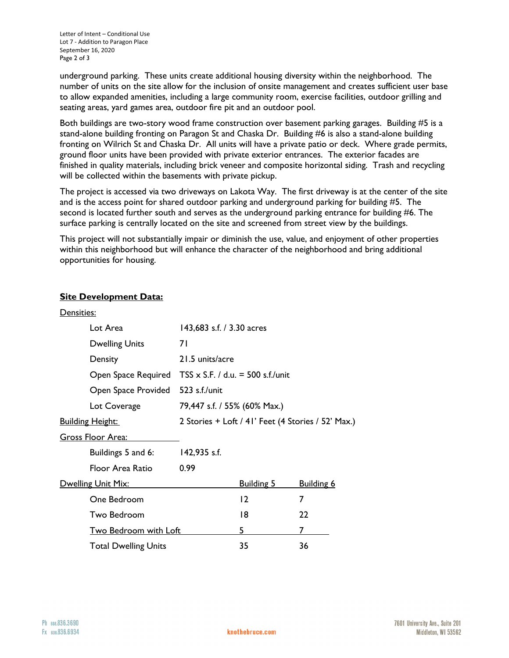underground parking. These units create additional housing diversity within the neighborhood. The number of units on the site allow for the inclusion of onsite management and creates sufficient user base to allow expanded amenities, including a large community room, exercise facilities, outdoor grilling and seating areas, yard games area, outdoor fire pit and an outdoor pool.

Both buildings are two-story wood frame construction over basement parking garages. Building #5 is a stand-alone building fronting on Paragon St and Chaska Dr. Building #6 is also a stand-alone building fronting on Wilrich St and Chaska Dr. All units will have a private patio or deck. Where grade permits, ground floor units have been provided with private exterior entrances. The exterior facades are finished in quality materials, including brick veneer and composite horizontal siding. Trash and recycling will be collected within the basements with private pickup.

The project is accessed via two driveways on Lakota Way. The first driveway is at the center of the site and is the access point for shared outdoor parking and underground parking for building #5. The second is located further south and serves as the underground parking entrance for building #6. The surface parking is centrally located on the site and screened from street view by the buildings.

This project will not substantially impair or diminish the use, value, and enjoyment of other properties within this neighborhood but will enhance the character of the neighborhood and bring additional opportunities for housing.

# **Site Development Data:**

| Densities:                |                              |                                                    |                   |                   |
|---------------------------|------------------------------|----------------------------------------------------|-------------------|-------------------|
|                           | Lot Area                     | 143,683 s.f. / 3.30 acres                          |                   |                   |
|                           | <b>Dwelling Units</b>        | 71                                                 |                   |                   |
|                           | Density                      | 21.5 units/acre                                    |                   |                   |
|                           | Open Space Required          | TSS $\times$ S.F. / d.u. = 500 s.f./unit           |                   |                   |
|                           | Open Space Provided          | 523 s.f./unit                                      |                   |                   |
|                           | Lot Coverage                 | 79,447 s.f. / 55% (60% Max.)                       |                   |                   |
| <u> Building Height:</u>  |                              | 2 Stories + Loft / 41' Feet (4 Stories / 52' Max.) |                   |                   |
| <u> Gross Floor Area:</u> |                              |                                                    |                   |                   |
|                           | Buildings 5 and 6:           | 142,935 s.f.                                       |                   |                   |
|                           | Floor Area Ratio             | 0.99                                               |                   |                   |
| Dwelling Unit Mix:        |                              |                                                    | <b>Building 5</b> | <b>Building 6</b> |
|                           | One Bedroom                  |                                                    | $12 \,$           | 7                 |
|                           | Two Bedroom                  |                                                    | 18                | 22                |
|                           | <b>Two Bedroom with Loft</b> |                                                    | 5                 | 7                 |
|                           | <b>Total Dwelling Units</b>  |                                                    | 35                | 36                |